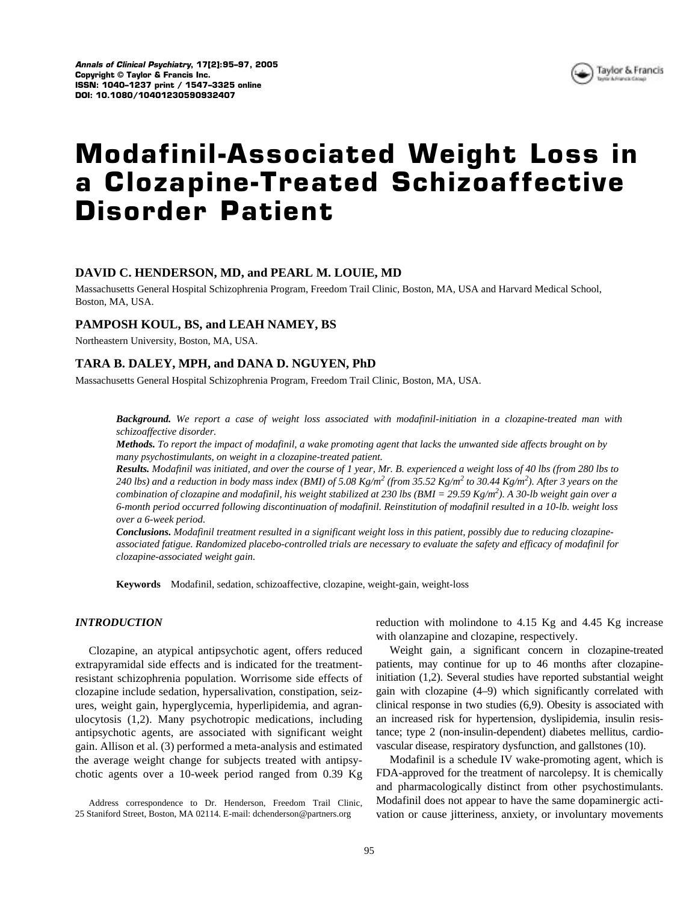

# **Modafinil-Associated Weight Loss in a Clozapine-Treated Schizoaffective Disorder Patient**

# **DAVID C. HENDERSON, MD, and PEARL M. LOUIE, MD**

Massachusetts General Hospital Schizophrenia Program, Freedom Trail Clinic, Boston, MA, USA and Harvard Medical School, Boston, MA, USA.

## **PAMPOSH KOUL, BS, and LEAH NAMEY, BS**

Northeastern University, Boston, MA, USA.

## **TARA B. DALEY, MPH, and DANA D. NGUYEN, PhD**

Massachusetts General Hospital Schizophrenia Program, Freedom Trail Clinic, Boston, MA, USA.

*Background. We report a case of weight loss associated with modafinil-initiation in a clozapine-treated man with schizoaffective disorder.*

*Methods. To report the impact of modafinil, a wake promoting agent that lacks the unwanted side affects brought on by many psychostimulants, on weight in a clozapine-treated patient.*

*Results. Modafinil was initiated, and over the course of 1 year, Mr. B. experienced a weight loss of 40 lbs (from 280 lbs to*  240 lbs) and a reduction in body mass index (BMI) of 5.08  $Kg/m^2$  (from 35.52  $Kg/m^2$  to 30.44  $Kg/m^2$ ). After 3 years on the *combination of clozapine and modafinil, his weight stabilized at 230 lbs (BMI = 29.59 Kg/m<sup>2</sup> ). A 30-lb weight gain over a 6-month period occurred following discontinuation of modafinil. Reinstitution of modafinil resulted in a 10-lb. weight loss over a 6-week period.*

*Conclusions. Modafinil treatment resulted in a significant weight loss in this patient, possibly due to reducing clozapineassociated fatigue. Randomized placebo-controlled trials are necessary to evaluate the safety and efficacy of modafinil for clozapine-associated weight gain.*

**Keywords** Modafinil, sedation, schizoaffective, clozapine, weight-gain, weight-loss

#### *INTRODUCTION*

Clozapine, an atypical antipsychotic agent, offers reduced extrapyramidal side effects and is indicated for the treatmentresistant schizophrenia population. Worrisome side effects of clozapine include sedation, hypersalivation, constipation, seizures, weight gain, hyperglycemia, hyperlipidemia, and agranulocytosis (1,2). Many psychotropic medications, including antipsychotic agents, are associated with significant weight gain. Allison et al. (3) performed a meta-analysis and estimated the average weight change for subjects treated with antipsychotic agents over a 10-week period ranged from 0.39 Kg

Address correspondence to Dr. Henderson, Freedom Trail Clinic, 25 Staniford Street, Boston, MA 02114. E-mail: dchenderson@partners.org

reduction with molindone to 4.15 Kg and 4.45 Kg increase with olanzapine and clozapine, respectively.

Weight gain, a significant concern in clozapine-treated patients, may continue for up to 46 months after clozapineinitiation (1,2). Several studies have reported substantial weight gain with clozapine (4–9) which significantly correlated with clinical response in two studies (6,9). Obesity is associated with an increased risk for hypertension, dyslipidemia, insulin resistance; type 2 (non-insulin-dependent) diabetes mellitus, cardiovascular disease, respiratory dysfunction, and gallstones (10).

Modafinil is a schedule IV wake-promoting agent, which is FDA-approved for the treatment of narcolepsy. It is chemically and pharmacologically distinct from other psychostimulants. Modafinil does not appear to have the same dopaminergic activation or cause jitteriness, anxiety, or involuntary movements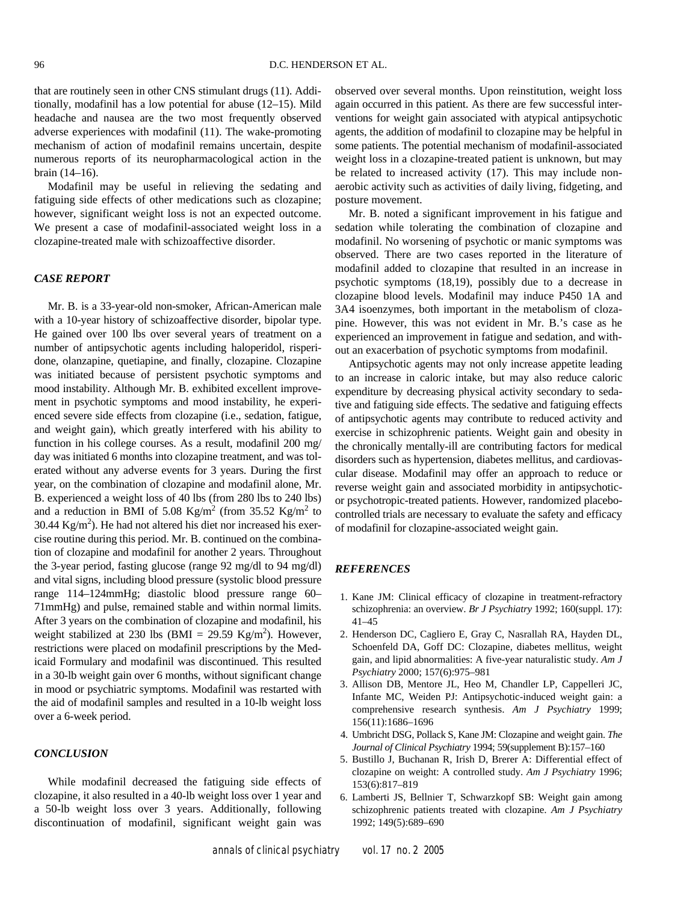that are routinely seen in other CNS stimulant drugs (11). Additionally, modafinil has a low potential for abuse (12–15). Mild headache and nausea are the two most frequently observed adverse experiences with modafinil (11). The wake-promoting mechanism of action of modafinil remains uncertain, despite numerous reports of its neuropharmacological action in the brain (14–16).

Modafinil may be useful in relieving the sedating and fatiguing side effects of other medications such as clozapine; however, significant weight loss is not an expected outcome. We present a case of modafinil-associated weight loss in a clozapine-treated male with schizoaffective disorder.

#### *CASE REPORT*

Mr. B. is a 33-year-old non-smoker, African-American male with a 10-year history of schizoaffective disorder, bipolar type. He gained over 100 lbs over several years of treatment on a number of antipsychotic agents including haloperidol, risperidone, olanzapine, quetiapine, and finally, clozapine. Clozapine was initiated because of persistent psychotic symptoms and mood instability. Although Mr. B. exhibited excellent improvement in psychotic symptoms and mood instability, he experienced severe side effects from clozapine (i.e., sedation, fatigue, and weight gain), which greatly interfered with his ability to function in his college courses. As a result, modafinil 200 mg/ day was initiated 6 months into clozapine treatment, and was tolerated without any adverse events for 3 years. During the first year, on the combination of clozapine and modafinil alone, Mr. B. experienced a weight loss of 40 lbs (from 280 lbs to 240 lbs) and a reduction in BMI of 5.08 Kg/m<sup>2</sup> (from 35.52 Kg/m<sup>2</sup> to 30.44  $\text{Kg/m}^2$ ). He had not altered his diet nor increased his exercise routine during this period. Mr. B. continued on the combination of clozapine and modafinil for another 2 years. Throughout the 3-year period, fasting glucose (range 92 mg/dl to 94 mg/dl) and vital signs, including blood pressure (systolic blood pressure range 114–124mmHg; diastolic blood pressure range 60– 71mmHg) and pulse, remained stable and within normal limits. After 3 years on the combination of clozapine and modafinil, his weight stabilized at 230 lbs (BMI = 29.59 Kg/m<sup>2</sup>). However, restrictions were placed on modafinil prescriptions by the Medicaid Formulary and modafinil was discontinued. This resulted in a 30-lb weight gain over 6 months, without significant change in mood or psychiatric symptoms. Modafinil was restarted with the aid of modafinil samples and resulted in a 10-lb weight loss over a 6-week period.

#### *CONCLUSION*

While modafinil decreased the fatiguing side effects of clozapine, it also resulted in a 40-lb weight loss over 1 year and a 50-lb weight loss over 3 years. Additionally, following discontinuation of modafinil, significant weight gain was

observed over several months. Upon reinstitution, weight loss again occurred in this patient. As there are few successful interventions for weight gain associated with atypical antipsychotic agents, the addition of modafinil to clozapine may be helpful in some patients. The potential mechanism of modafinil-associated weight loss in a clozapine-treated patient is unknown, but may be related to increased activity (17). This may include nonaerobic activity such as activities of daily living, fidgeting, and posture movement.

Mr. B. noted a significant improvement in his fatigue and sedation while tolerating the combination of clozapine and modafinil. No worsening of psychotic or manic symptoms was observed. There are two cases reported in the literature of modafinil added to clozapine that resulted in an increase in psychotic symptoms (18,19), possibly due to a decrease in clozapine blood levels. Modafinil may induce P450 1A and 3A4 isoenzymes, both important in the metabolism of clozapine. However, this was not evident in Mr. B.'s case as he experienced an improvement in fatigue and sedation, and without an exacerbation of psychotic symptoms from modafinil.

Antipsychotic agents may not only increase appetite leading to an increase in caloric intake, but may also reduce caloric expenditure by decreasing physical activity secondary to sedative and fatiguing side effects. The sedative and fatiguing effects of antipsychotic agents may contribute to reduced activity and exercise in schizophrenic patients. Weight gain and obesity in the chronically mentally-ill are contributing factors for medical disorders such as hypertension, diabetes mellitus, and cardiovascular disease. Modafinil may offer an approach to reduce or reverse weight gain and associated morbidity in antipsychoticor psychotropic-treated patients. However, randomized placebocontrolled trials are necessary to evaluate the safety and efficacy of modafinil for clozapine-associated weight gain.

#### *REFERENCES*

- 1. Kane JM: Clinical efficacy of clozapine in treatment-refractory schizophrenia: an overview. *Br J Psychiatry* 1992; 160(suppl. 17): 41–45
- 2. Henderson DC, Cagliero E, Gray C, Nasrallah RA, Hayden DL, Schoenfeld DA, Goff DC: Clozapine, diabetes mellitus, weight gain, and lipid abnormalities: A five-year naturalistic study. *Am J Psychiatry* 2000; 157(6):975–981
- 3. Allison DB, Mentore JL, Heo M, Chandler LP, Cappelleri JC, Infante MC, Weiden PJ: Antipsychotic-induced weight gain: a comprehensive research synthesis. *Am J Psychiatry* 1999; 156(11):1686–1696
- 4. Umbricht DSG, Pollack S, Kane JM: Clozapine and weight gain. *The Journal of Clinical Psychiatry* 1994; 59(supplement B):157–160
- 5. Bustillo J, Buchanan R, Irish D, Brerer A: Differential effect of clozapine on weight: A controlled study. *Am J Psychiatry* 1996; 153(6):817–819
- 6. Lamberti JS, Bellnier T, Schwarzkopf SB: Weight gain among schizophrenic patients treated with clozapine. *Am J Psychiatry* 1992; 149(5):689–690